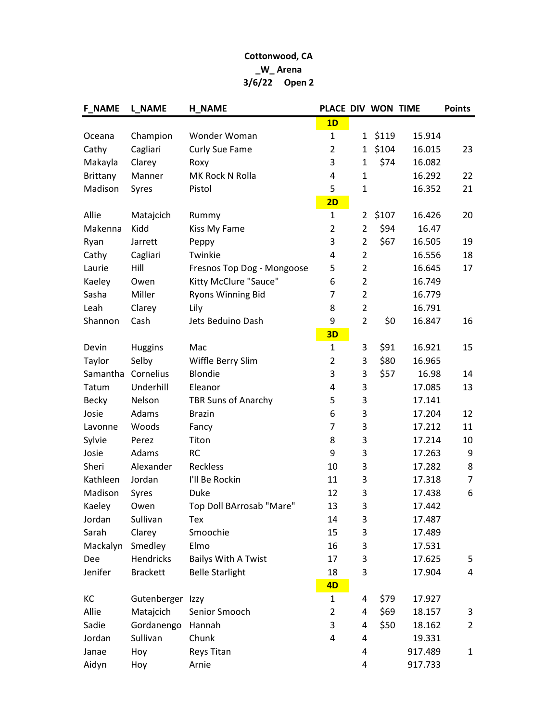## Cottonwood, CA \_W\_ Arena 3/6/22 Open 2

| <b>F_NAME</b>   | <b>L_NAME</b>    | <b>H_NAME</b>              | PLACE DIV WON TIME |                |       |         | <b>Points</b>  |
|-----------------|------------------|----------------------------|--------------------|----------------|-------|---------|----------------|
|                 |                  |                            | 1D                 |                |       |         |                |
| Oceana          | Champion         | Wonder Woman               | $\mathbf{1}$       | $\mathbf{1}$   | \$119 | 15.914  |                |
| Cathy           | Cagliari         | Curly Sue Fame             | $\overline{2}$     | $\mathbf{1}$   | \$104 | 16.015  | 23             |
| Makayla         | Clarey           | Roxy                       | 3                  | $\mathbf{1}$   | \$74  | 16.082  |                |
| <b>Brittany</b> | Manner           | MK Rock N Rolla            | $\overline{4}$     | 1              |       | 16.292  | 22             |
| Madison         | Syres            | Pistol                     | 5                  | $\mathbf{1}$   |       | 16.352  | 21             |
|                 |                  |                            | 2D                 |                |       |         |                |
| Allie           | Matajcich        | Rummy                      | $\mathbf{1}$       | 2              | \$107 | 16.426  | 20             |
| Makenna         | Kidd             | Kiss My Fame               | $\overline{2}$     | $\overline{2}$ | \$94  | 16.47   |                |
| Ryan            | Jarrett          | Peppy                      | 3                  | $\overline{2}$ | \$67  | 16.505  | 19             |
| Cathy           | Cagliari         | Twinkie                    | 4                  | $\overline{2}$ |       | 16.556  | 18             |
| Laurie          | Hill             | Fresnos Top Dog - Mongoose | 5                  | $\overline{2}$ |       | 16.645  | 17             |
| Kaeley          | Owen             | Kitty McClure "Sauce"      | 6                  | $\overline{2}$ |       | 16.749  |                |
| Sasha           | Miller           | <b>Ryons Winning Bid</b>   | $\overline{7}$     | $\overline{2}$ |       | 16.779  |                |
| Leah            | Clarey           | Lily                       | 8                  | $\overline{2}$ |       | 16.791  |                |
| Shannon         | Cash             | Jets Beduino Dash          | 9                  | $\overline{2}$ | \$0   | 16.847  | 16             |
|                 |                  |                            | 3D                 |                |       |         |                |
| Devin           | <b>Huggins</b>   | Mac                        | $\mathbf{1}$       | 3              | \$91  | 16.921  | 15             |
| Taylor          | Selby            | Wiffle Berry Slim          | $\overline{2}$     | 3              | \$80  | 16.965  |                |
| Samantha        | Cornelius        | Blondie                    | 3                  | 3              | \$57  | 16.98   | 14             |
| Tatum           | Underhill        | Eleanor                    | 4                  | 3              |       | 17.085  | 13             |
| <b>Becky</b>    | Nelson           | TBR Suns of Anarchy        | 5                  | 3              |       | 17.141  |                |
| Josie           | Adams            | <b>Brazin</b>              | 6                  | 3              |       | 17.204  | 12             |
| Lavonne         | Woods            | Fancy                      | $\overline{7}$     | 3              |       | 17.212  | 11             |
| Sylvie          | Perez            | Titon                      | 8                  | 3              |       | 17.214  | 10             |
| Josie           | Adams            | <b>RC</b>                  | 9                  | 3              |       | 17.263  | 9              |
| Sheri           | Alexander        | Reckless                   | 10                 | 3              |       | 17.282  | 8              |
| Kathleen        | Jordan           | I'll Be Rockin             | 11                 | 3              |       | 17.318  | 7              |
| Madison         | Syres            | Duke                       | 12                 | 3              |       | 17.438  | 6              |
| Kaeley          | Owen             | Top Doll BArrosab "Mare"   | 13                 | 3              |       | 17.442  |                |
| Jordan          | Sullivan         | Tex                        | 14                 | 3              |       | 17.487  |                |
| Sarah           | Clarey           | Smoochie                   | 15                 | 3              |       | 17.489  |                |
| Mackalyn        | Smedley          | Elmo                       | 16                 | 3              |       | 17.531  |                |
| Dee             | Hendricks        | <b>Bailys With A Twist</b> | 17                 | 3              |       | 17.625  | 5              |
| Jenifer         | <b>Brackett</b>  | <b>Belle Starlight</b>     | 18                 | 3              |       | 17.904  | 4              |
|                 |                  |                            | 4D                 |                |       |         |                |
| КC              | Gutenberger Izzy |                            | $\mathbf{1}$       | 4              | \$79  | 17.927  |                |
| Allie           | Matajcich        | Senior Smooch              | $\overline{2}$     | 4              | \$69  | 18.157  | 3              |
| Sadie           | Gordanengo       | Hannah                     | 3                  | 4              | \$50  | 18.162  | $\overline{2}$ |
| Jordan          | Sullivan         | Chunk                      | 4                  | 4              |       | 19.331  |                |
| Janae           | Hoy              | Reys Titan                 |                    | 4              |       | 917.489 | $\mathbf{1}$   |
| Aidyn           | Hoy              | Arnie                      |                    | 4              |       | 917.733 |                |